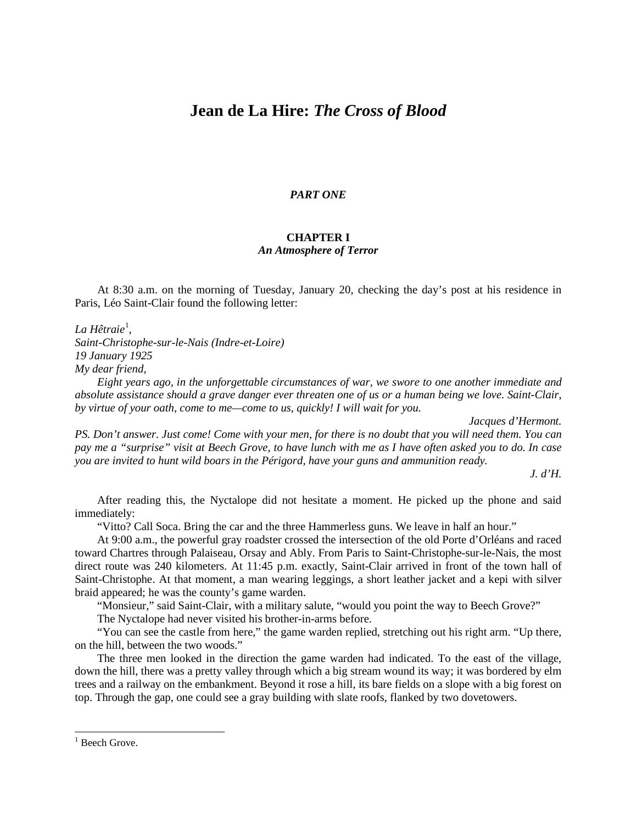## **Jean de La Hire:** *The Cross of Blood*

## *PART ONE*

## **CHAPTER I** *An Atmosphere of Terror*

At 8:30 a.m. on the morning of Tuesday, January 20, checking the day's post at his residence in Paris, Léo Saint-Clair found the following letter:

La Hêtraie<sup>[1](#page-0-0)</sup>,

*Saint-Christophe-sur-le-Nais (Indre-et-Loire) 19 January 1925 My dear friend,*

*Eight years ago, in the unforgettable circumstances of war, we swore to one another immediate and absolute assistance should a grave danger ever threaten one of us or a human being we love. Saint-Clair, by virtue of your oath, come to me—come to us, quickly! I will wait for you.*

*Jacques d'Hermont.*

*PS. Don't answer. Just come! Come with your men, for there is no doubt that you will need them. You can pay me a "surprise" visit at Beech Grove, to have lunch with me as I have often asked you to do. In case you are invited to hunt wild boars in the Périgord, have your guns and ammunition ready.*

*J. d'H.*

After reading this, the Nyctalope did not hesitate a moment. He picked up the phone and said immediately:

"Vitto? Call Soca. Bring the car and the three Hammerless guns. We leave in half an hour."

At 9:00 a.m., the powerful gray roadster crossed the intersection of the old Porte d'Orléans and raced toward Chartres through Palaiseau, Orsay and Ably. From Paris to Saint-Christophe-sur-le-Nais, the most direct route was 240 kilometers. At 11:45 p.m. exactly, Saint-Clair arrived in front of the town hall of Saint-Christophe. At that moment, a man wearing leggings, a short leather jacket and a kepi with silver braid appeared; he was the county's game warden.

"Monsieur," said Saint-Clair, with a military salute, "would you point the way to Beech Grove?"

The Nyctalope had never visited his brother-in-arms before.

"You can see the castle from here," the game warden replied, stretching out his right arm. "Up there, on the hill, between the two woods."

The three men looked in the direction the game warden had indicated. To the east of the village, down the hill, there was a pretty valley through which a big stream wound its way; it was bordered by elm trees and a railway on the embankment. Beyond it rose a hill, its bare fields on a slope with a big forest on top. Through the gap, one could see a gray building with slate roofs, flanked by two dovetowers.

<span id="page-0-0"></span> $1$  Beech Grove.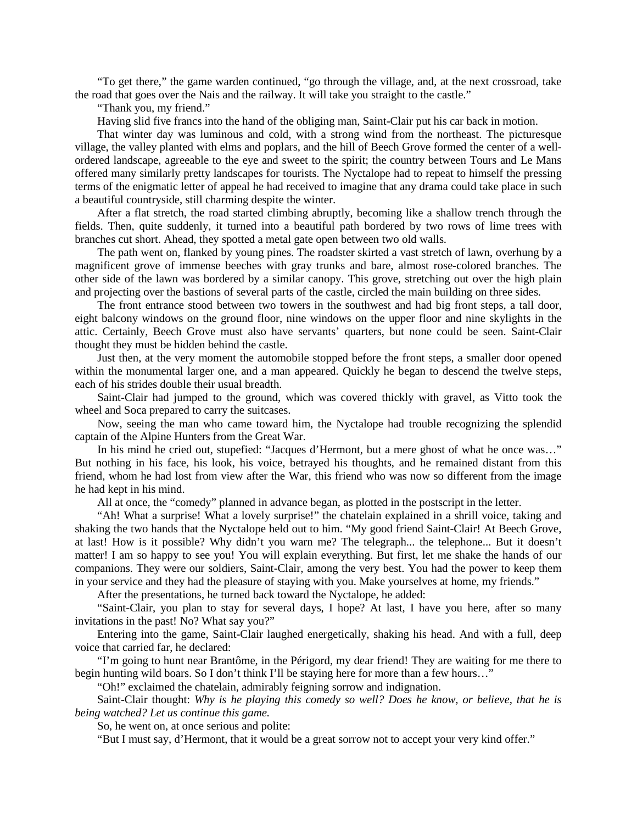"To get there," the game warden continued, "go through the village, and, at the next crossroad, take the road that goes over the Nais and the railway. It will take you straight to the castle."

"Thank you, my friend."

Having slid five francs into the hand of the obliging man, Saint-Clair put his car back in motion.

That winter day was luminous and cold, with a strong wind from the northeast. The picturesque village, the valley planted with elms and poplars, and the hill of Beech Grove formed the center of a wellordered landscape, agreeable to the eye and sweet to the spirit; the country between Tours and Le Mans offered many similarly pretty landscapes for tourists. The Nyctalope had to repeat to himself the pressing terms of the enigmatic letter of appeal he had received to imagine that any drama could take place in such a beautiful countryside, still charming despite the winter.

After a flat stretch, the road started climbing abruptly, becoming like a shallow trench through the fields. Then, quite suddenly, it turned into a beautiful path bordered by two rows of lime trees with branches cut short. Ahead, they spotted a metal gate open between two old walls.

The path went on, flanked by young pines. The roadster skirted a vast stretch of lawn, overhung by a magnificent grove of immense beeches with gray trunks and bare, almost rose-colored branches. The other side of the lawn was bordered by a similar canopy. This grove, stretching out over the high plain and projecting over the bastions of several parts of the castle, circled the main building on three sides.

The front entrance stood between two towers in the southwest and had big front steps, a tall door, eight balcony windows on the ground floor, nine windows on the upper floor and nine skylights in the attic. Certainly, Beech Grove must also have servants' quarters, but none could be seen. Saint-Clair thought they must be hidden behind the castle.

Just then, at the very moment the automobile stopped before the front steps, a smaller door opened within the monumental larger one, and a man appeared. Quickly he began to descend the twelve steps, each of his strides double their usual breadth.

Saint-Clair had jumped to the ground, which was covered thickly with gravel, as Vitto took the wheel and Soca prepared to carry the suitcases.

Now, seeing the man who came toward him, the Nyctalope had trouble recognizing the splendid captain of the Alpine Hunters from the Great War.

In his mind he cried out, stupefied: "Jacques d'Hermont, but a mere ghost of what he once was…" But nothing in his face, his look, his voice, betrayed his thoughts, and he remained distant from this friend, whom he had lost from view after the War, this friend who was now so different from the image he had kept in his mind.

All at once, the "comedy" planned in advance began, as plotted in the postscript in the letter.

"Ah! What a surprise! What a lovely surprise!" the chatelain explained in a shrill voice, taking and shaking the two hands that the Nyctalope held out to him. "My good friend Saint-Clair! At Beech Grove, at last! How is it possible? Why didn't you warn me? The telegraph... the telephone... But it doesn't matter! I am so happy to see you! You will explain everything. But first, let me shake the hands of our companions. They were our soldiers, Saint-Clair, among the very best. You had the power to keep them in your service and they had the pleasure of staying with you. Make yourselves at home, my friends."

After the presentations, he turned back toward the Nyctalope, he added:

"Saint-Clair, you plan to stay for several days, I hope? At last, I have you here, after so many invitations in the past! No? What say you?"

Entering into the game, Saint-Clair laughed energetically, shaking his head. And with a full, deep voice that carried far, he declared:

"I'm going to hunt near Brantôme, in the Périgord, my dear friend! They are waiting for me there to begin hunting wild boars. So I don't think I'll be staying here for more than a few hours…"

"Oh!" exclaimed the chatelain, admirably feigning sorrow and indignation.

Saint-Clair thought: *Why is he playing this comedy so well? Does he know, or believe, that he is being watched? Let us continue this game.*

So, he went on, at once serious and polite:

"But I must say, d'Hermont, that it would be a great sorrow not to accept your very kind offer."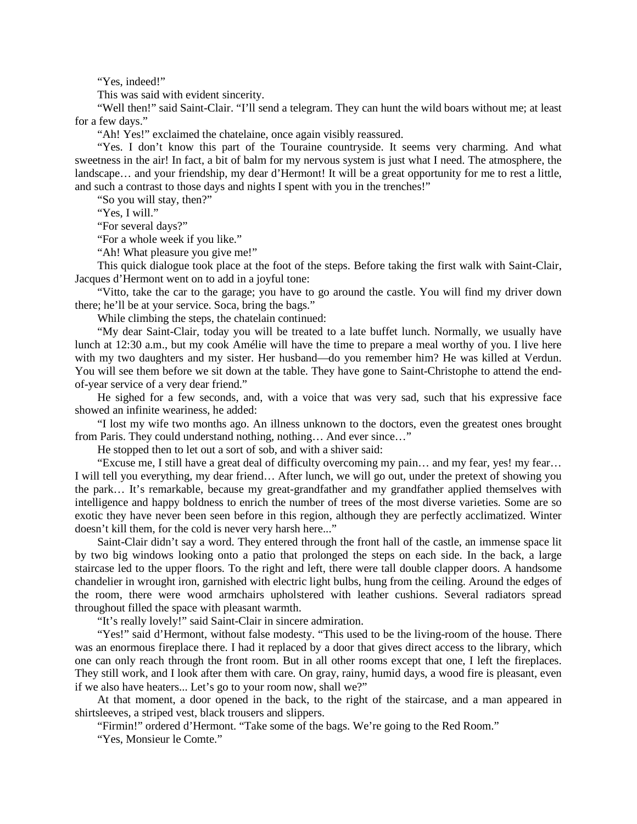"Yes, indeed!"

This was said with evident sincerity.

"Well then!" said Saint-Clair. "I'll send a telegram. They can hunt the wild boars without me; at least for a few days."

"Ah! Yes!" exclaimed the chatelaine, once again visibly reassured.

"Yes. I don't know this part of the Touraine countryside. It seems very charming. And what sweetness in the air! In fact, a bit of balm for my nervous system is just what I need. The atmosphere, the landscape… and your friendship, my dear d'Hermont! It will be a great opportunity for me to rest a little, and such a contrast to those days and nights I spent with you in the trenches!"

"So you will stay, then?"

"Yes, I will."

"For several days?"

"For a whole week if you like."

"Ah! What pleasure you give me!"

This quick dialogue took place at the foot of the steps. Before taking the first walk with Saint-Clair, Jacques d'Hermont went on to add in a joyful tone:

"Vitto, take the car to the garage; you have to go around the castle. You will find my driver down there; he'll be at your service. Soca, bring the bags."

While climbing the steps, the chatelain continued:

"My dear Saint-Clair, today you will be treated to a late buffet lunch. Normally, we usually have lunch at 12:30 a.m., but my cook Amélie will have the time to prepare a meal worthy of you. I live here with my two daughters and my sister. Her husband—do you remember him? He was killed at Verdun. You will see them before we sit down at the table. They have gone to Saint-Christophe to attend the endof-year service of a very dear friend."

He sighed for a few seconds, and, with a voice that was very sad, such that his expressive face showed an infinite weariness, he added:

"I lost my wife two months ago. An illness unknown to the doctors, even the greatest ones brought from Paris. They could understand nothing, nothing… And ever since…"

He stopped then to let out a sort of sob, and with a shiver said:

"Excuse me, I still have a great deal of difficulty overcoming my pain… and my fear, yes! my fear… I will tell you everything, my dear friend… After lunch, we will go out, under the pretext of showing you the park… It's remarkable, because my great-grandfather and my grandfather applied themselves with intelligence and happy boldness to enrich the number of trees of the most diverse varieties. Some are so exotic they have never been seen before in this region, although they are perfectly acclimatized. Winter doesn't kill them, for the cold is never very harsh here..."

Saint-Clair didn't say a word. They entered through the front hall of the castle, an immense space lit by two big windows looking onto a patio that prolonged the steps on each side. In the back, a large staircase led to the upper floors. To the right and left, there were tall double clapper doors. A handsome chandelier in wrought iron, garnished with electric light bulbs, hung from the ceiling. Around the edges of the room, there were wood armchairs upholstered with leather cushions. Several radiators spread throughout filled the space with pleasant warmth.

"It's really lovely!" said Saint-Clair in sincere admiration.

"Yes!" said d'Hermont, without false modesty. "This used to be the living-room of the house. There was an enormous fireplace there. I had it replaced by a door that gives direct access to the library, which one can only reach through the front room. But in all other rooms except that one, I left the fireplaces. They still work, and I look after them with care. On gray, rainy, humid days, a wood fire is pleasant, even if we also have heaters... Let's go to your room now, shall we?"

At that moment, a door opened in the back, to the right of the staircase, and a man appeared in shirtsleeves, a striped vest, black trousers and slippers.

"Firmin!" ordered d'Hermont. "Take some of the bags. We're going to the Red Room."

"Yes, Monsieur le Comte."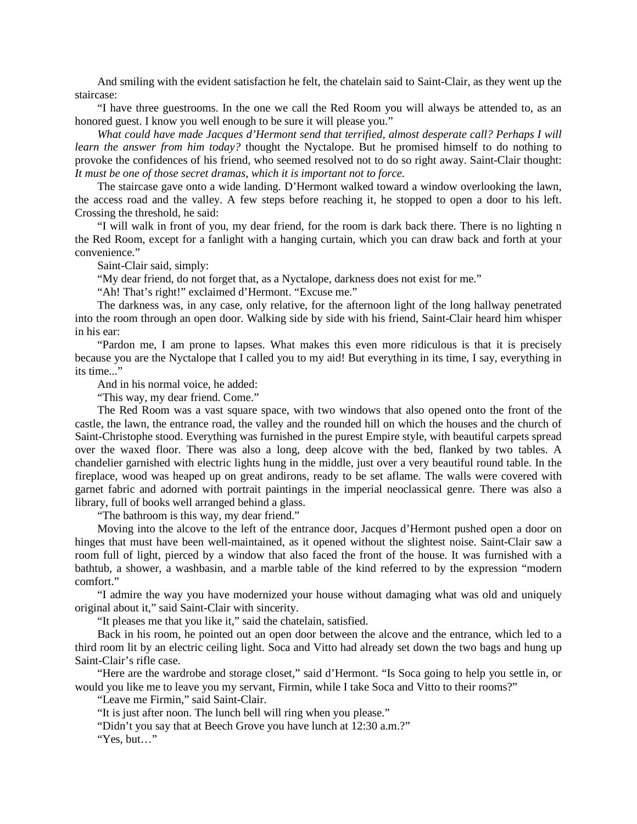And smiling with the evident satisfaction he felt, the chatelain said to Saint-Clair, as they went up the staircase:

"I have three guestrooms. In the one we call the Red Room you will always be attended to, as an honored guest. I know you well enough to be sure it will please you."

*What could have made Jacques d'Hermont send that terrified, almost desperate call? Perhaps I will learn the answer from him today?* thought the Nyctalope. But he promised himself to do nothing to provoke the confidences of his friend, who seemed resolved not to do so right away. Saint-Clair thought: *It must be one of those secret dramas, which it is important not to force.*

The staircase gave onto a wide landing. D'Hermont walked toward a window overlooking the lawn, the access road and the valley. A few steps before reaching it, he stopped to open a door to his left. Crossing the threshold, he said:

"I will walk in front of you, my dear friend, for the room is dark back there. There is no lighting n the Red Room, except for a fanlight with a hanging curtain, which you can draw back and forth at your convenience."

Saint-Clair said, simply:

"My dear friend, do not forget that, as a Nyctalope, darkness does not exist for me."

"Ah! That's right!" exclaimed d'Hermont. "Excuse me."

The darkness was, in any case, only relative, for the afternoon light of the long hallway penetrated into the room through an open door. Walking side by side with his friend, Saint-Clair heard him whisper in his ear:

"Pardon me, I am prone to lapses. What makes this even more ridiculous is that it is precisely because you are the Nyctalope that I called you to my aid! But everything in its time, I say, everything in its time..."

And in his normal voice, he added:

"This way, my dear friend. Come."

The Red Room was a vast square space, with two windows that also opened onto the front of the castle, the lawn, the entrance road, the valley and the rounded hill on which the houses and the church of Saint-Christophe stood. Everything was furnished in the purest Empire style, with beautiful carpets spread over the waxed floor. There was also a long, deep alcove with the bed, flanked by two tables. A chandelier garnished with electric lights hung in the middle, just over a very beautiful round table. In the fireplace, wood was heaped up on great andirons, ready to be set aflame. The walls were covered with garnet fabric and adorned with portrait paintings in the imperial neoclassical genre. There was also a library, full of books well arranged behind a glass.

"The bathroom is this way, my dear friend."

Moving into the alcove to the left of the entrance door, Jacques d'Hermont pushed open a door on hinges that must have been well-maintained, as it opened without the slightest noise. Saint-Clair saw a room full of light, pierced by a window that also faced the front of the house. It was furnished with a bathtub, a shower, a washbasin, and a marble table of the kind referred to by the expression "modern comfort."

"I admire the way you have modernized your house without damaging what was old and uniquely original about it," said Saint-Clair with sincerity.

"It pleases me that you like it," said the chatelain, satisfied.

Back in his room, he pointed out an open door between the alcove and the entrance, which led to a third room lit by an electric ceiling light. Soca and Vitto had already set down the two bags and hung up Saint-Clair's rifle case.

"Here are the wardrobe and storage closet," said d'Hermont. "Is Soca going to help you settle in, or would you like me to leave you my servant, Firmin, while I take Soca and Vitto to their rooms?"

"Leave me Firmin," said Saint-Clair.

"It is just after noon. The lunch bell will ring when you please."

"Didn't you say that at Beech Grove you have lunch at 12:30 a.m.?"

"Yes, but…"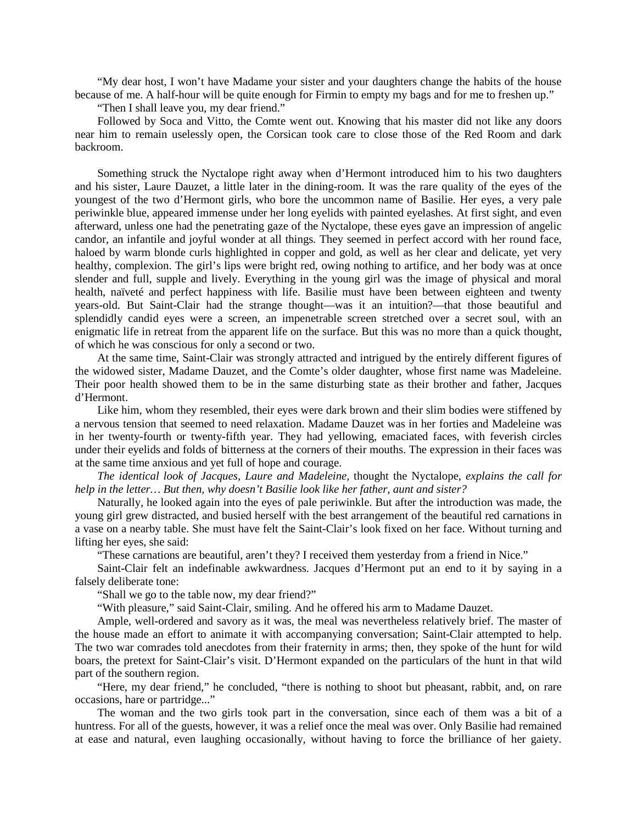"My dear host, I won't have Madame your sister and your daughters change the habits of the house because of me. A half-hour will be quite enough for Firmin to empty my bags and for me to freshen up."

"Then I shall leave you, my dear friend."

Followed by Soca and Vitto, the Comte went out. Knowing that his master did not like any doors near him to remain uselessly open, the Corsican took care to close those of the Red Room and dark backroom.

Something struck the Nyctalope right away when d'Hermont introduced him to his two daughters and his sister, Laure Dauzet, a little later in the dining-room. It was the rare quality of the eyes of the youngest of the two d'Hermont girls, who bore the uncommon name of Basilie. Her eyes, a very pale periwinkle blue, appeared immense under her long eyelids with painted eyelashes. At first sight, and even afterward, unless one had the penetrating gaze of the Nyctalope, these eyes gave an impression of angelic candor, an infantile and joyful wonder at all things. They seemed in perfect accord with her round face, haloed by warm blonde curls highlighted in copper and gold, as well as her clear and delicate, yet very healthy, complexion. The girl's lips were bright red, owing nothing to artifice, and her body was at once slender and full, supple and lively. Everything in the young girl was the image of physical and moral health, naïveté and perfect happiness with life. Basilie must have been between eighteen and twenty years-old. But Saint-Clair had the strange thought—was it an intuition?—that those beautiful and splendidly candid eyes were a screen, an impenetrable screen stretched over a secret soul, with an enigmatic life in retreat from the apparent life on the surface. But this was no more than a quick thought, of which he was conscious for only a second or two.

At the same time, Saint-Clair was strongly attracted and intrigued by the entirely different figures of the widowed sister, Madame Dauzet, and the Comte's older daughter, whose first name was Madeleine. Their poor health showed them to be in the same disturbing state as their brother and father, Jacques d'Hermont.

Like him, whom they resembled, their eyes were dark brown and their slim bodies were stiffened by a nervous tension that seemed to need relaxation. Madame Dauzet was in her forties and Madeleine was in her twenty-fourth or twenty-fifth year. They had yellowing, emaciated faces, with feverish circles under their eyelids and folds of bitterness at the corners of their mouths. The expression in their faces was at the same time anxious and yet full of hope and courage.

*The identical look of Jacques, Laure and Madeleine,* thought the Nyctalope, *explains the call for help in the letter… But then, why doesn't Basilie look like her father, aunt and sister?*

Naturally, he looked again into the eyes of pale periwinkle. But after the introduction was made, the young girl grew distracted, and busied herself with the best arrangement of the beautiful red carnations in a vase on a nearby table. She must have felt the Saint-Clair's look fixed on her face. Without turning and lifting her eyes, she said:

"These carnations are beautiful, aren't they? I received them yesterday from a friend in Nice."

Saint-Clair felt an indefinable awkwardness. Jacques d'Hermont put an end to it by saying in a falsely deliberate tone:

"Shall we go to the table now, my dear friend?"

"With pleasure," said Saint-Clair, smiling. And he offered his arm to Madame Dauzet.

Ample, well-ordered and savory as it was, the meal was nevertheless relatively brief. The master of the house made an effort to animate it with accompanying conversation; Saint-Clair attempted to help. The two war comrades told anecdotes from their fraternity in arms; then, they spoke of the hunt for wild boars, the pretext for Saint-Clair's visit. D'Hermont expanded on the particulars of the hunt in that wild part of the southern region.

"Here, my dear friend," he concluded, "there is nothing to shoot but pheasant, rabbit, and, on rare occasions, hare or partridge..."

The woman and the two girls took part in the conversation, since each of them was a bit of a huntress. For all of the guests, however, it was a relief once the meal was over. Only Basilie had remained at ease and natural, even laughing occasionally, without having to force the brilliance of her gaiety.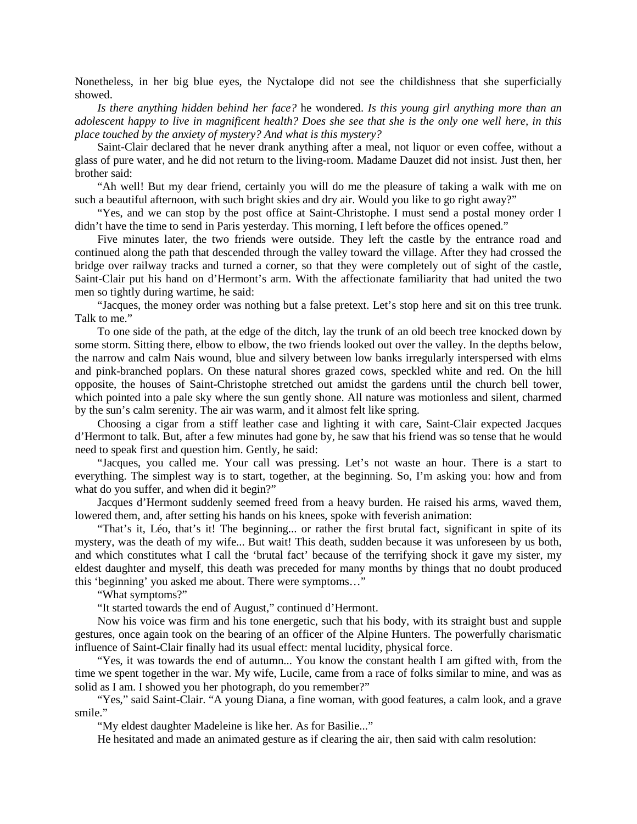Nonetheless, in her big blue eyes, the Nyctalope did not see the childishness that she superficially showed.

*Is there anything hidden behind her face?* he wondered. *Is this young girl anything more than an adolescent happy to live in magnificent health? Does she see that she is the only one well here, in this place touched by the anxiety of mystery? And what is this mystery?*

Saint-Clair declared that he never drank anything after a meal, not liquor or even coffee, without a glass of pure water, and he did not return to the living-room. Madame Dauzet did not insist. Just then, her brother said:

"Ah well! But my dear friend, certainly you will do me the pleasure of taking a walk with me on such a beautiful afternoon, with such bright skies and dry air. Would you like to go right away?"

"Yes, and we can stop by the post office at Saint-Christophe. I must send a postal money order I didn't have the time to send in Paris yesterday. This morning, I left before the offices opened."

Five minutes later, the two friends were outside. They left the castle by the entrance road and continued along the path that descended through the valley toward the village. After they had crossed the bridge over railway tracks and turned a corner, so that they were completely out of sight of the castle, Saint-Clair put his hand on d'Hermont's arm. With the affectionate familiarity that had united the two men so tightly during wartime, he said:

"Jacques, the money order was nothing but a false pretext. Let's stop here and sit on this tree trunk. Talk to me."

To one side of the path, at the edge of the ditch, lay the trunk of an old beech tree knocked down by some storm. Sitting there, elbow to elbow, the two friends looked out over the valley. In the depths below, the narrow and calm Nais wound, blue and silvery between low banks irregularly interspersed with elms and pink-branched poplars. On these natural shores grazed cows, speckled white and red. On the hill opposite, the houses of Saint-Christophe stretched out amidst the gardens until the church bell tower, which pointed into a pale sky where the sun gently shone. All nature was motionless and silent, charmed by the sun's calm serenity. The air was warm, and it almost felt like spring.

Choosing a cigar from a stiff leather case and lighting it with care, Saint-Clair expected Jacques d'Hermont to talk. But, after a few minutes had gone by, he saw that his friend was so tense that he would need to speak first and question him. Gently, he said:

"Jacques, you called me. Your call was pressing. Let's not waste an hour. There is a start to everything. The simplest way is to start, together, at the beginning. So, I'm asking you: how and from what do you suffer, and when did it begin?"

Jacques d'Hermont suddenly seemed freed from a heavy burden. He raised his arms, waved them, lowered them, and, after setting his hands on his knees, spoke with feverish animation:

"That's it, Léo, that's it! The beginning... or rather the first brutal fact, significant in spite of its mystery, was the death of my wife... But wait! This death, sudden because it was unforeseen by us both, and which constitutes what I call the 'brutal fact' because of the terrifying shock it gave my sister, my eldest daughter and myself, this death was preceded for many months by things that no doubt produced this 'beginning' you asked me about. There were symptoms…"

"What symptoms?"

"It started towards the end of August," continued d'Hermont.

Now his voice was firm and his tone energetic, such that his body, with its straight bust and supple gestures, once again took on the bearing of an officer of the Alpine Hunters. The powerfully charismatic influence of Saint-Clair finally had its usual effect: mental lucidity, physical force.

"Yes, it was towards the end of autumn... You know the constant health I am gifted with, from the time we spent together in the war. My wife, Lucile, came from a race of folks similar to mine, and was as solid as I am. I showed you her photograph, do you remember?"

"Yes," said Saint-Clair. "A young Diana, a fine woman, with good features, a calm look, and a grave smile."

"My eldest daughter Madeleine is like her. As for Basilie..."

He hesitated and made an animated gesture as if clearing the air, then said with calm resolution: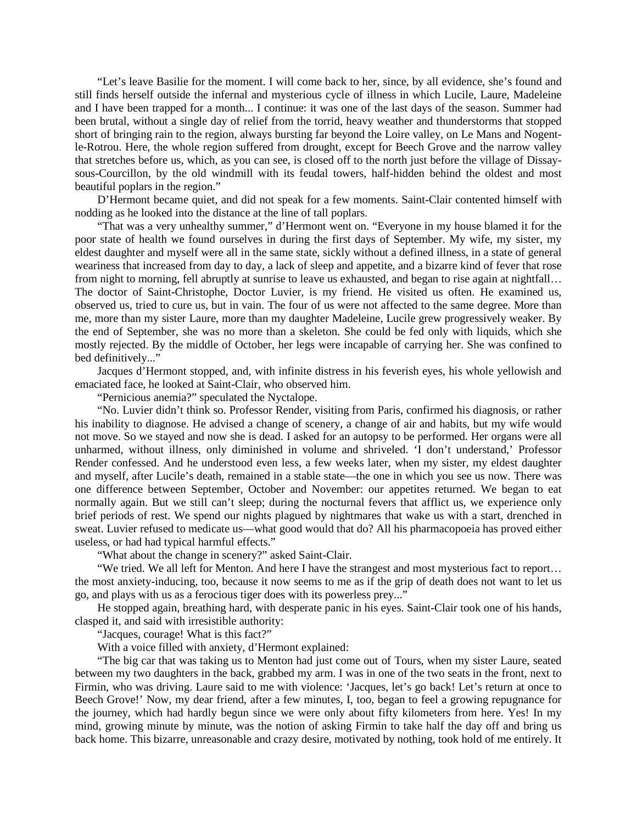"Let's leave Basilie for the moment. I will come back to her, since, by all evidence, she's found and still finds herself outside the infernal and mysterious cycle of illness in which Lucile, Laure, Madeleine and I have been trapped for a month... I continue: it was one of the last days of the season. Summer had been brutal, without a single day of relief from the torrid, heavy weather and thunderstorms that stopped short of bringing rain to the region, always bursting far beyond the Loire valley, on Le Mans and Nogentle-Rotrou. Here, the whole region suffered from drought, except for Beech Grove and the narrow valley that stretches before us, which, as you can see, is closed off to the north just before the village of Dissaysous-Courcillon, by the old windmill with its feudal towers, half-hidden behind the oldest and most beautiful poplars in the region."

D'Hermont became quiet, and did not speak for a few moments. Saint-Clair contented himself with nodding as he looked into the distance at the line of tall poplars.

"That was a very unhealthy summer," d'Hermont went on. "Everyone in my house blamed it for the poor state of health we found ourselves in during the first days of September. My wife, my sister, my eldest daughter and myself were all in the same state, sickly without a defined illness, in a state of general weariness that increased from day to day, a lack of sleep and appetite, and a bizarre kind of fever that rose from night to morning, fell abruptly at sunrise to leave us exhausted, and began to rise again at nightfall... The doctor of Saint-Christophe, Doctor Luvier, is my friend. He visited us often. He examined us, observed us, tried to cure us, but in vain. The four of us were not affected to the same degree. More than me, more than my sister Laure, more than my daughter Madeleine, Lucile grew progressively weaker. By the end of September, she was no more than a skeleton. She could be fed only with liquids, which she mostly rejected. By the middle of October, her legs were incapable of carrying her. She was confined to bed definitively..."

Jacques d'Hermont stopped, and, with infinite distress in his feverish eyes, his whole yellowish and emaciated face, he looked at Saint-Clair, who observed him.

"Pernicious anemia?" speculated the Nyctalope.

"No. Luvier didn't think so. Professor Render, visiting from Paris, confirmed his diagnosis, or rather his inability to diagnose. He advised a change of scenery, a change of air and habits, but my wife would not move. So we stayed and now she is dead. I asked for an autopsy to be performed. Her organs were all unharmed, without illness, only diminished in volume and shriveled. 'I don't understand,' Professor Render confessed. And he understood even less, a few weeks later, when my sister, my eldest daughter and myself, after Lucile's death, remained in a stable state—the one in which you see us now. There was one difference between September, October and November: our appetites returned. We began to eat normally again. But we still can't sleep; during the nocturnal fevers that afflict us, we experience only brief periods of rest. We spend our nights plagued by nightmares that wake us with a start, drenched in sweat. Luvier refused to medicate us—what good would that do? All his pharmacopoeia has proved either useless, or had had typical harmful effects."

"What about the change in scenery?" asked Saint-Clair.

"We tried. We all left for Menton. And here I have the strangest and most mysterious fact to report… the most anxiety-inducing, too, because it now seems to me as if the grip of death does not want to let us go, and plays with us as a ferocious tiger does with its powerless prey..."

He stopped again, breathing hard, with desperate panic in his eyes. Saint-Clair took one of his hands, clasped it, and said with irresistible authority:

"Jacques, courage! What is this fact?"

With a voice filled with anxiety, d'Hermont explained:

"The big car that was taking us to Menton had just come out of Tours, when my sister Laure, seated between my two daughters in the back, grabbed my arm. I was in one of the two seats in the front, next to Firmin, who was driving. Laure said to me with violence: 'Jacques, let's go back! Let's return at once to Beech Grove!' Now, my dear friend, after a few minutes, I, too, began to feel a growing repugnance for the journey, which had hardly begun since we were only about fifty kilometers from here. Yes! In my mind, growing minute by minute, was the notion of asking Firmin to take half the day off and bring us back home. This bizarre, unreasonable and crazy desire, motivated by nothing, took hold of me entirely. It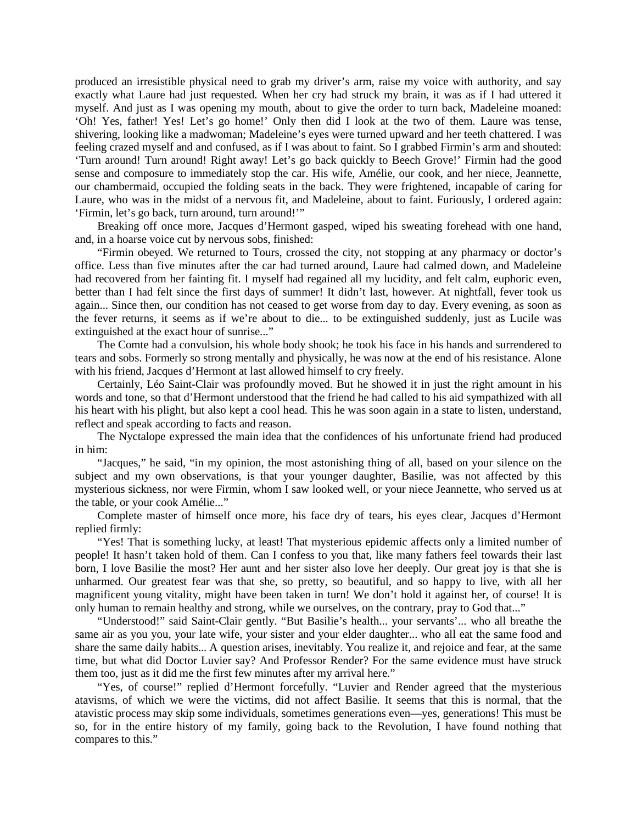produced an irresistible physical need to grab my driver's arm, raise my voice with authority, and say exactly what Laure had just requested. When her cry had struck my brain, it was as if I had uttered it myself. And just as I was opening my mouth, about to give the order to turn back, Madeleine moaned: 'Oh! Yes, father! Yes! Let's go home!' Only then did I look at the two of them. Laure was tense, shivering, looking like a madwoman; Madeleine's eyes were turned upward and her teeth chattered. I was feeling crazed myself and and confused, as if I was about to faint. So I grabbed Firmin's arm and shouted: 'Turn around! Turn around! Right away! Let's go back quickly to Beech Grove!' Firmin had the good sense and composure to immediately stop the car. His wife, Amélie, our cook, and her niece, Jeannette, our chambermaid, occupied the folding seats in the back. They were frightened, incapable of caring for Laure, who was in the midst of a nervous fit, and Madeleine, about to faint. Furiously, I ordered again: 'Firmin, let's go back, turn around, turn around!'"

Breaking off once more, Jacques d'Hermont gasped, wiped his sweating forehead with one hand, and, in a hoarse voice cut by nervous sobs, finished:

"Firmin obeyed. We returned to Tours, crossed the city, not stopping at any pharmacy or doctor's office. Less than five minutes after the car had turned around, Laure had calmed down, and Madeleine had recovered from her fainting fit. I myself had regained all my lucidity, and felt calm, euphoric even, better than I had felt since the first days of summer! It didn't last, however. At nightfall, fever took us again... Since then, our condition has not ceased to get worse from day to day. Every evening, as soon as the fever returns, it seems as if we're about to die... to be extinguished suddenly, just as Lucile was extinguished at the exact hour of sunrise..."

The Comte had a convulsion, his whole body shook; he took his face in his hands and surrendered to tears and sobs. Formerly so strong mentally and physically, he was now at the end of his resistance. Alone with his friend, Jacques d'Hermont at last allowed himself to cry freely.

Certainly, Léo Saint-Clair was profoundly moved. But he showed it in just the right amount in his words and tone, so that d'Hermont understood that the friend he had called to his aid sympathized with all his heart with his plight, but also kept a cool head. This he was soon again in a state to listen, understand, reflect and speak according to facts and reason.

The Nyctalope expressed the main idea that the confidences of his unfortunate friend had produced in him:

"Jacques," he said, "in my opinion, the most astonishing thing of all, based on your silence on the subject and my own observations, is that your younger daughter, Basilie, was not affected by this mysterious sickness, nor were Firmin, whom I saw looked well, or your niece Jeannette, who served us at the table, or your cook Amélie..."

Complete master of himself once more, his face dry of tears, his eyes clear, Jacques d'Hermont replied firmly:

"Yes! That is something lucky, at least! That mysterious epidemic affects only a limited number of people! It hasn't taken hold of them. Can I confess to you that, like many fathers feel towards their last born, I love Basilie the most? Her aunt and her sister also love her deeply. Our great joy is that she is unharmed. Our greatest fear was that she, so pretty, so beautiful, and so happy to live, with all her magnificent young vitality, might have been taken in turn! We don't hold it against her, of course! It is only human to remain healthy and strong, while we ourselves, on the contrary, pray to God that..."

"Understood!" said Saint-Clair gently. "But Basilie's health... your servants'... who all breathe the same air as you you, your late wife, your sister and your elder daughter... who all eat the same food and share the same daily habits... A question arises, inevitably. You realize it, and rejoice and fear, at the same time, but what did Doctor Luvier say? And Professor Render? For the same evidence must have struck them too, just as it did me the first few minutes after my arrival here."

"Yes, of course!" replied d'Hermont forcefully. "Luvier and Render agreed that the mysterious atavisms, of which we were the victims, did not affect Basilie. It seems that this is normal, that the atavistic process may skip some individuals, sometimes generations even—yes, generations! This must be so, for in the entire history of my family, going back to the Revolution, I have found nothing that compares to this."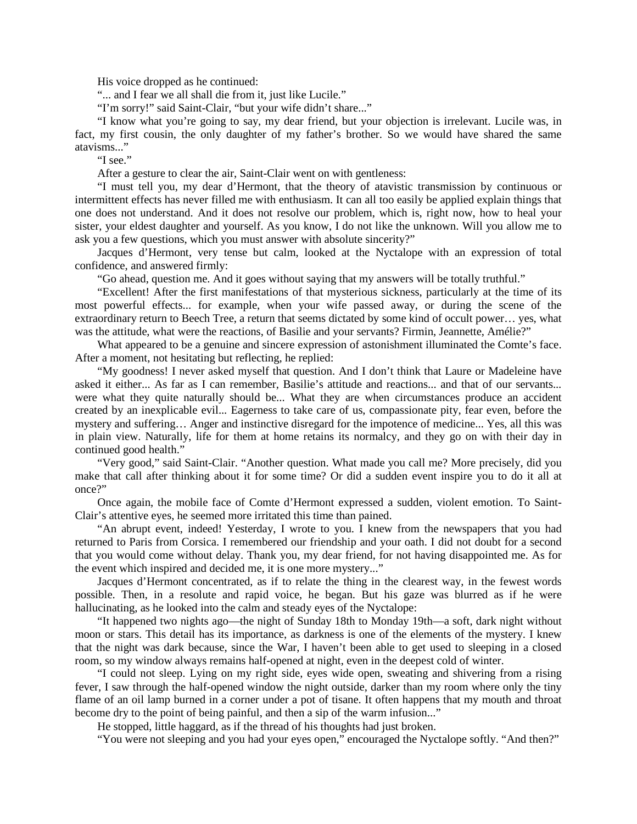His voice dropped as he continued:

"... and I fear we all shall die from it, just like Lucile."

"I'm sorry!" said Saint-Clair, "but your wife didn't share..."

"I know what you're going to say, my dear friend, but your objection is irrelevant. Lucile was, in fact, my first cousin, the only daughter of my father's brother. So we would have shared the same atavisms..."

"I see."

After a gesture to clear the air, Saint-Clair went on with gentleness:

"I must tell you, my dear d'Hermont, that the theory of atavistic transmission by continuous or intermittent effects has never filled me with enthusiasm. It can all too easily be applied explain things that one does not understand. And it does not resolve our problem, which is, right now, how to heal your sister, your eldest daughter and yourself. As you know, I do not like the unknown. Will you allow me to ask you a few questions, which you must answer with absolute sincerity?"

Jacques d'Hermont, very tense but calm, looked at the Nyctalope with an expression of total confidence, and answered firmly:

"Go ahead, question me. And it goes without saying that my answers will be totally truthful."

"Excellent! After the first manifestations of that mysterious sickness, particularly at the time of its most powerful effects... for example, when your wife passed away, or during the scene of the extraordinary return to Beech Tree, a return that seems dictated by some kind of occult power… yes, what was the attitude, what were the reactions, of Basilie and your servants? Firmin, Jeannette, Amélie?"

What appeared to be a genuine and sincere expression of astonishment illuminated the Comte's face. After a moment, not hesitating but reflecting, he replied:

"My goodness! I never asked myself that question. And I don't think that Laure or Madeleine have asked it either... As far as I can remember, Basilie's attitude and reactions... and that of our servants... were what they quite naturally should be... What they are when circumstances produce an accident created by an inexplicable evil... Eagerness to take care of us, compassionate pity, fear even, before the mystery and suffering… Anger and instinctive disregard for the impotence of medicine... Yes, all this was in plain view. Naturally, life for them at home retains its normalcy, and they go on with their day in continued good health."

"Very good," said Saint-Clair. "Another question. What made you call me? More precisely, did you make that call after thinking about it for some time? Or did a sudden event inspire you to do it all at once?"

Once again, the mobile face of Comte d'Hermont expressed a sudden, violent emotion. To Saint-Clair's attentive eyes, he seemed more irritated this time than pained.

"An abrupt event, indeed! Yesterday, I wrote to you. I knew from the newspapers that you had returned to Paris from Corsica. I remembered our friendship and your oath. I did not doubt for a second that you would come without delay. Thank you, my dear friend, for not having disappointed me. As for the event which inspired and decided me, it is one more mystery..."

Jacques d'Hermont concentrated, as if to relate the thing in the clearest way, in the fewest words possible. Then, in a resolute and rapid voice, he began. But his gaze was blurred as if he were hallucinating, as he looked into the calm and steady eyes of the Nyctalope:

"It happened two nights ago—the night of Sunday 18th to Monday 19th—a soft, dark night without moon or stars. This detail has its importance, as darkness is one of the elements of the mystery. I knew that the night was dark because, since the War, I haven't been able to get used to sleeping in a closed room, so my window always remains half-opened at night, even in the deepest cold of winter.

"I could not sleep. Lying on my right side, eyes wide open, sweating and shivering from a rising fever, I saw through the half-opened window the night outside, darker than my room where only the tiny flame of an oil lamp burned in a corner under a pot of tisane. It often happens that my mouth and throat become dry to the point of being painful, and then a sip of the warm infusion..."

He stopped, little haggard, as if the thread of his thoughts had just broken.

"You were not sleeping and you had your eyes open," encouraged the Nyctalope softly. "And then?"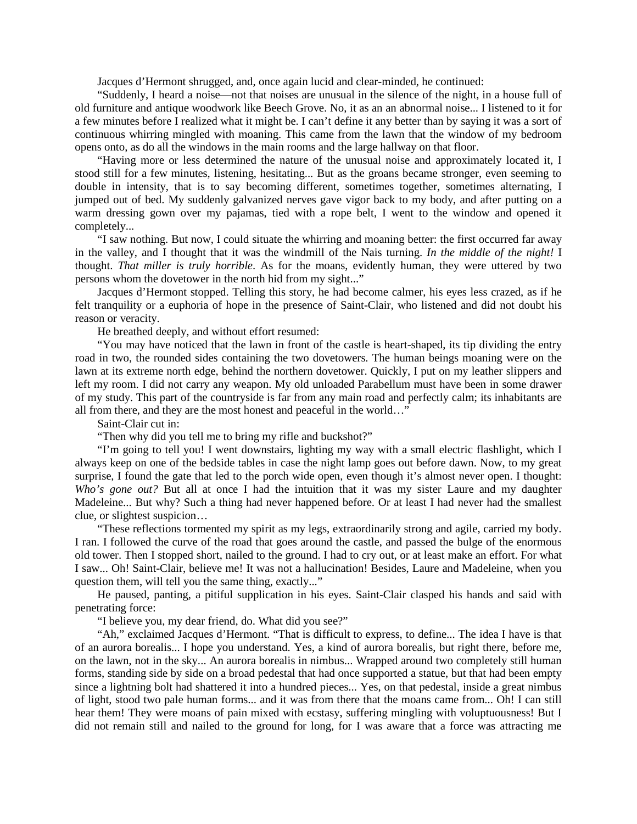Jacques d'Hermont shrugged, and, once again lucid and clear-minded, he continued:

"Suddenly, I heard a noise—not that noises are unusual in the silence of the night, in a house full of old furniture and antique woodwork like Beech Grove. No, it as an an abnormal noise... I listened to it for a few minutes before I realized what it might be. I can't define it any better than by saying it was a sort of continuous whirring mingled with moaning. This came from the lawn that the window of my bedroom opens onto, as do all the windows in the main rooms and the large hallway on that floor.

"Having more or less determined the nature of the unusual noise and approximately located it, I stood still for a few minutes, listening, hesitating... But as the groans became stronger, even seeming to double in intensity, that is to say becoming different, sometimes together, sometimes alternating, I jumped out of bed. My suddenly galvanized nerves gave vigor back to my body, and after putting on a warm dressing gown over my pajamas, tied with a rope belt, I went to the window and opened it completely...

"I saw nothing. But now, I could situate the whirring and moaning better: the first occurred far away in the valley, and I thought that it was the windmill of the Nais turning. *In the middle of the night!* I thought. *That miller is truly horrible*. As for the moans, evidently human, they were uttered by two persons whom the dovetower in the north hid from my sight..."

Jacques d'Hermont stopped. Telling this story, he had become calmer, his eyes less crazed, as if he felt tranquility or a euphoria of hope in the presence of Saint-Clair, who listened and did not doubt his reason or veracity.

He breathed deeply, and without effort resumed:

"You may have noticed that the lawn in front of the castle is heart-shaped, its tip dividing the entry road in two, the rounded sides containing the two dovetowers. The human beings moaning were on the lawn at its extreme north edge, behind the northern dovetower. Quickly, I put on my leather slippers and left my room. I did not carry any weapon. My old unloaded Parabellum must have been in some drawer of my study. This part of the countryside is far from any main road and perfectly calm; its inhabitants are all from there, and they are the most honest and peaceful in the world…"

Saint-Clair cut in:

"Then why did you tell me to bring my rifle and buckshot?"

"I'm going to tell you! I went downstairs, lighting my way with a small electric flashlight, which I always keep on one of the bedside tables in case the night lamp goes out before dawn. Now, to my great surprise, I found the gate that led to the porch wide open, even though it's almost never open. I thought: *Who's gone out?* But all at once I had the intuition that it was my sister Laure and my daughter Madeleine... But why? Such a thing had never happened before. Or at least I had never had the smallest clue, or slightest suspicion…

"These reflections tormented my spirit as my legs, extraordinarily strong and agile, carried my body. I ran. I followed the curve of the road that goes around the castle, and passed the bulge of the enormous old tower. Then I stopped short, nailed to the ground. I had to cry out, or at least make an effort. For what I saw... Oh! Saint-Clair, believe me! It was not a hallucination! Besides, Laure and Madeleine, when you question them, will tell you the same thing, exactly..."

He paused, panting, a pitiful supplication in his eyes. Saint-Clair clasped his hands and said with penetrating force:

"I believe you, my dear friend, do. What did you see?"

"Ah," exclaimed Jacques d'Hermont. "That is difficult to express, to define... The idea I have is that of an aurora borealis... I hope you understand. Yes, a kind of aurora borealis, but right there, before me, on the lawn, not in the sky... An aurora borealis in nimbus... Wrapped around two completely still human forms, standing side by side on a broad pedestal that had once supported a statue, but that had been empty since a lightning bolt had shattered it into a hundred pieces... Yes, on that pedestal, inside a great nimbus of light, stood two pale human forms... and it was from there that the moans came from... Oh! I can still hear them! They were moans of pain mixed with ecstasy, suffering mingling with voluptuousness! But I did not remain still and nailed to the ground for long, for I was aware that a force was attracting me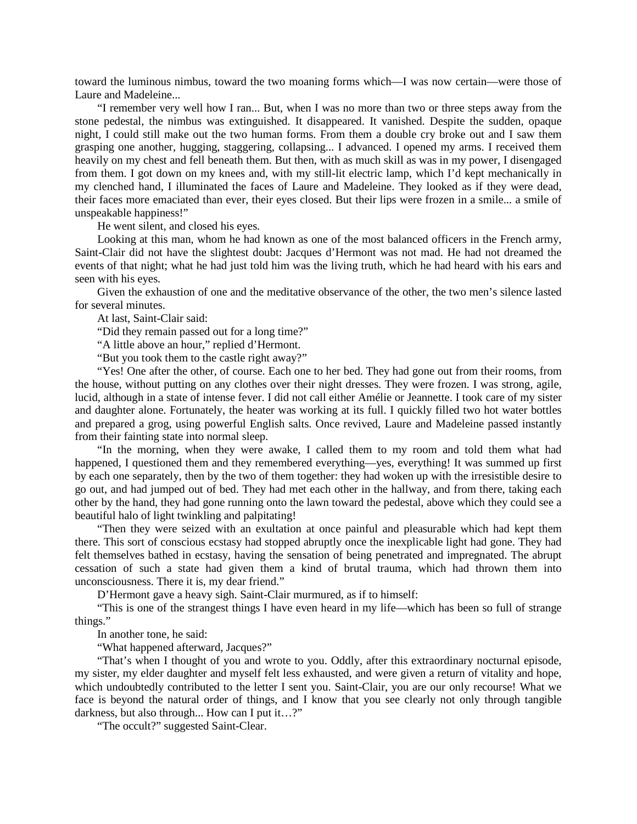toward the luminous nimbus, toward the two moaning forms which—I was now certain—were those of Laure and Madeleine...

"I remember very well how I ran... But, when I was no more than two or three steps away from the stone pedestal, the nimbus was extinguished. It disappeared. It vanished. Despite the sudden, opaque night, I could still make out the two human forms. From them a double cry broke out and I saw them grasping one another, hugging, staggering, collapsing... I advanced. I opened my arms. I received them heavily on my chest and fell beneath them. But then, with as much skill as was in my power, I disengaged from them. I got down on my knees and, with my still-lit electric lamp, which I'd kept mechanically in my clenched hand, I illuminated the faces of Laure and Madeleine. They looked as if they were dead, their faces more emaciated than ever, their eyes closed. But their lips were frozen in a smile... a smile of unspeakable happiness!"

He went silent, and closed his eyes.

Looking at this man, whom he had known as one of the most balanced officers in the French army, Saint-Clair did not have the slightest doubt: Jacques d'Hermont was not mad. He had not dreamed the events of that night; what he had just told him was the living truth, which he had heard with his ears and seen with his eyes.

Given the exhaustion of one and the meditative observance of the other, the two men's silence lasted for several minutes.

At last, Saint-Clair said:

"Did they remain passed out for a long time?"

"A little above an hour," replied d'Hermont.

"But you took them to the castle right away?"

"Yes! One after the other, of course. Each one to her bed. They had gone out from their rooms, from the house, without putting on any clothes over their night dresses. They were frozen. I was strong, agile, lucid, although in a state of intense fever. I did not call either Amélie or Jeannette. I took care of my sister and daughter alone. Fortunately, the heater was working at its full. I quickly filled two hot water bottles and prepared a grog, using powerful English salts. Once revived, Laure and Madeleine passed instantly from their fainting state into normal sleep.

"In the morning, when they were awake, I called them to my room and told them what had happened, I questioned them and they remembered everything—yes, everything! It was summed up first by each one separately, then by the two of them together: they had woken up with the irresistible desire to go out, and had jumped out of bed. They had met each other in the hallway, and from there, taking each other by the hand, they had gone running onto the lawn toward the pedestal, above which they could see a beautiful halo of light twinkling and palpitating!

"Then they were seized with an exultation at once painful and pleasurable which had kept them there. This sort of conscious ecstasy had stopped abruptly once the inexplicable light had gone. They had felt themselves bathed in ecstasy, having the sensation of being penetrated and impregnated. The abrupt cessation of such a state had given them a kind of brutal trauma, which had thrown them into unconsciousness. There it is, my dear friend."

D'Hermont gave a heavy sigh. Saint-Clair murmured, as if to himself:

"This is one of the strangest things I have even heard in my life—which has been so full of strange things."

In another tone, he said:

"What happened afterward, Jacques?"

"That's when I thought of you and wrote to you. Oddly, after this extraordinary nocturnal episode, my sister, my elder daughter and myself felt less exhausted, and were given a return of vitality and hope, which undoubtedly contributed to the letter I sent you. Saint-Clair, you are our only recourse! What we face is beyond the natural order of things, and I know that you see clearly not only through tangible darkness, but also through... How can I put it…?"

"The occult?" suggested Saint-Clear.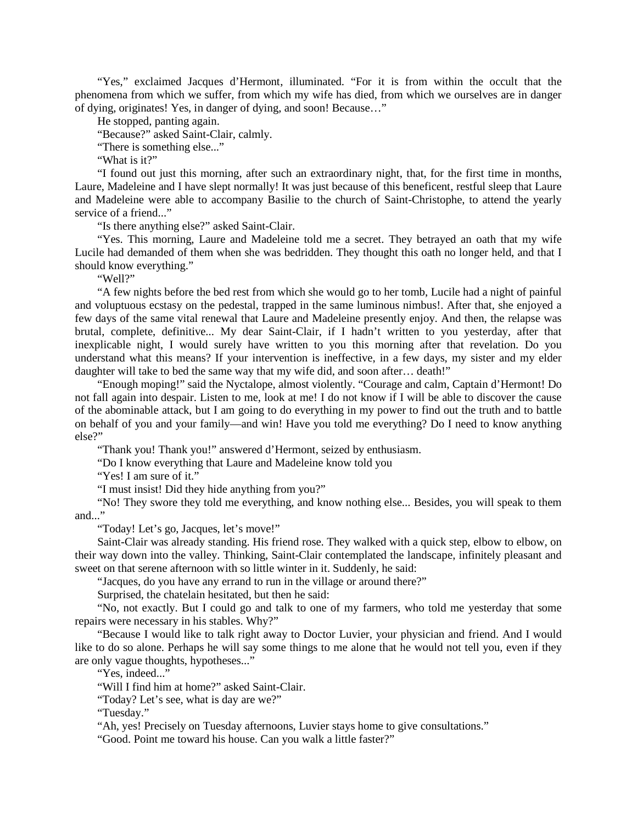"Yes," exclaimed Jacques d'Hermont, illuminated. "For it is from within the occult that the phenomena from which we suffer, from which my wife has died, from which we ourselves are in danger of dying, originates! Yes, in danger of dying, and soon! Because…"

He stopped, panting again.

"Because?" asked Saint-Clair, calmly.

"There is something else..."

"What is it?"

"I found out just this morning, after such an extraordinary night, that, for the first time in months, Laure, Madeleine and I have slept normally! It was just because of this beneficent, restful sleep that Laure and Madeleine were able to accompany Basilie to the church of Saint-Christophe, to attend the yearly service of a friend..."

"Is there anything else?" asked Saint-Clair.

"Yes. This morning, Laure and Madeleine told me a secret. They betrayed an oath that my wife Lucile had demanded of them when she was bedridden. They thought this oath no longer held, and that I should know everything."

"Well?"

"A few nights before the bed rest from which she would go to her tomb, Lucile had a night of painful and voluptuous ecstasy on the pedestal, trapped in the same luminous nimbus!. After that, she enjoyed a few days of the same vital renewal that Laure and Madeleine presently enjoy. And then, the relapse was brutal, complete, definitive... My dear Saint-Clair, if I hadn't written to you yesterday, after that inexplicable night, I would surely have written to you this morning after that revelation. Do you understand what this means? If your intervention is ineffective, in a few days, my sister and my elder daughter will take to bed the same way that my wife did, and soon after... death!"

"Enough moping!" said the Nyctalope, almost violently. "Courage and calm, Captain d'Hermont! Do not fall again into despair. Listen to me, look at me! I do not know if I will be able to discover the cause of the abominable attack, but I am going to do everything in my power to find out the truth and to battle on behalf of you and your family—and win! Have you told me everything? Do I need to know anything else?"

"Thank you! Thank you!" answered d'Hermont, seized by enthusiasm.

"Do I know everything that Laure and Madeleine know told you

"Yes! I am sure of it."

"I must insist! Did they hide anything from you?"

"No! They swore they told me everything, and know nothing else... Besides, you will speak to them and..."

"Today! Let's go, Jacques, let's move!"

Saint-Clair was already standing. His friend rose. They walked with a quick step, elbow to elbow, on their way down into the valley. Thinking, Saint-Clair contemplated the landscape, infinitely pleasant and sweet on that serene afternoon with so little winter in it. Suddenly, he said:

"Jacques, do you have any errand to run in the village or around there?"

Surprised, the chatelain hesitated, but then he said:

"No, not exactly. But I could go and talk to one of my farmers, who told me yesterday that some repairs were necessary in his stables. Why?"

"Because I would like to talk right away to Doctor Luvier, your physician and friend. And I would like to do so alone. Perhaps he will say some things to me alone that he would not tell you, even if they are only vague thoughts, hypotheses..."

"Yes, indeed..."

"Will I find him at home?" asked Saint-Clair.

"Today? Let's see, what is day are we?"

"Tuesday."

"Ah, yes! Precisely on Tuesday afternoons, Luvier stays home to give consultations."

"Good. Point me toward his house. Can you walk a little faster?"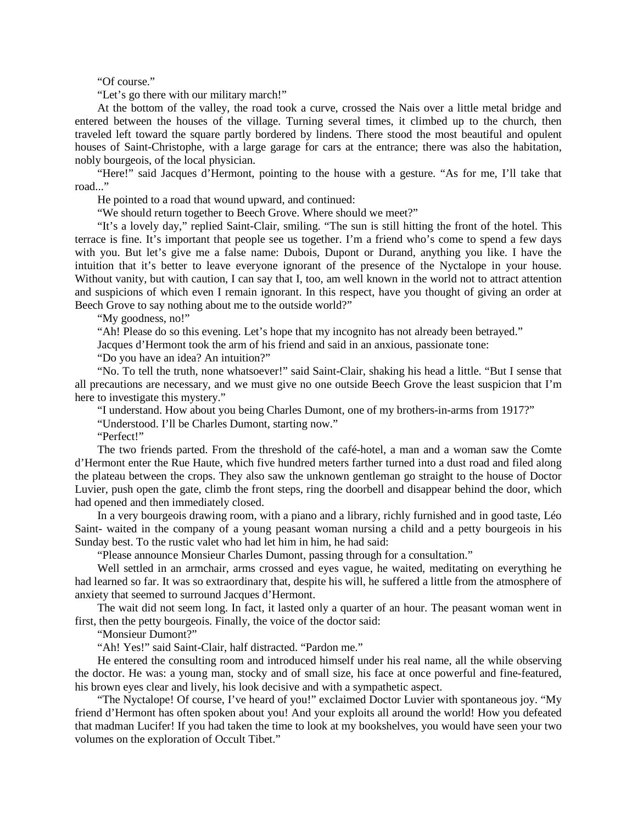"Of course."

"Let's go there with our military march!"

At the bottom of the valley, the road took a curve, crossed the Nais over a little metal bridge and entered between the houses of the village. Turning several times, it climbed up to the church, then traveled left toward the square partly bordered by lindens. There stood the most beautiful and opulent houses of Saint-Christophe, with a large garage for cars at the entrance; there was also the habitation, nobly bourgeois, of the local physician.

"Here!" said Jacques d'Hermont, pointing to the house with a gesture. "As for me, I'll take that road..."

He pointed to a road that wound upward, and continued:

"We should return together to Beech Grove. Where should we meet?"

"It's a lovely day," replied Saint-Clair, smiling. "The sun is still hitting the front of the hotel. This terrace is fine. It's important that people see us together. I'm a friend who's come to spend a few days with you. But let's give me a false name: Dubois, Dupont or Durand, anything you like. I have the intuition that it's better to leave everyone ignorant of the presence of the Nyctalope in your house. Without vanity, but with caution, I can say that I, too, am well known in the world not to attract attention and suspicions of which even I remain ignorant. In this respect, have you thought of giving an order at Beech Grove to say nothing about me to the outside world?"

"My goodness, no!"

"Ah! Please do so this evening. Let's hope that my incognito has not already been betrayed."

Jacques d'Hermont took the arm of his friend and said in an anxious, passionate tone:

"Do you have an idea? An intuition?"

"No. To tell the truth, none whatsoever!" said Saint-Clair, shaking his head a little. "But I sense that all precautions are necessary, and we must give no one outside Beech Grove the least suspicion that I'm here to investigate this mystery."

"I understand. How about you being Charles Dumont, one of my brothers-in-arms from 1917?"

"Understood. I'll be Charles Dumont, starting now."

"Perfect!"

The two friends parted. From the threshold of the café-hotel, a man and a woman saw the Comte d'Hermont enter the Rue Haute, which five hundred meters farther turned into a dust road and filed along the plateau between the crops. They also saw the unknown gentleman go straight to the house of Doctor Luvier, push open the gate, climb the front steps, ring the doorbell and disappear behind the door, which had opened and then immediately closed.

In a very bourgeois drawing room, with a piano and a library, richly furnished and in good taste, Léo Saint- waited in the company of a young peasant woman nursing a child and a petty bourgeois in his Sunday best. To the rustic valet who had let him in him, he had said:

"Please announce Monsieur Charles Dumont, passing through for a consultation."

Well settled in an armchair, arms crossed and eyes vague, he waited, meditating on everything he had learned so far. It was so extraordinary that, despite his will, he suffered a little from the atmosphere of anxiety that seemed to surround Jacques d'Hermont.

The wait did not seem long. In fact, it lasted only a quarter of an hour. The peasant woman went in first, then the petty bourgeois. Finally, the voice of the doctor said:

"Monsieur Dumont?"

"Ah! Yes!" said Saint-Clair, half distracted. "Pardon me."

He entered the consulting room and introduced himself under his real name, all the while observing the doctor. He was: a young man, stocky and of small size, his face at once powerful and fine-featured, his brown eyes clear and lively, his look decisive and with a sympathetic aspect.

"The Nyctalope! Of course, I've heard of you!" exclaimed Doctor Luvier with spontaneous joy. "My friend d'Hermont has often spoken about you! And your exploits all around the world! How you defeated that madman Lucifer! If you had taken the time to look at my bookshelves, you would have seen your two volumes on the exploration of Occult Tibet."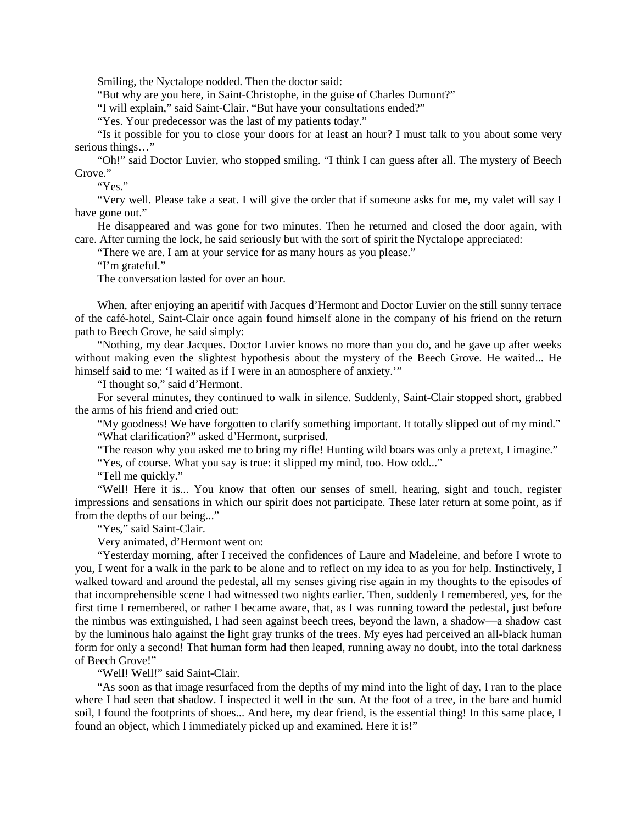Smiling, the Nyctalope nodded. Then the doctor said:

"But why are you here, in Saint-Christophe, in the guise of Charles Dumont?"

"I will explain," said Saint-Clair. "But have your consultations ended?"

"Yes. Your predecessor was the last of my patients today."

"Is it possible for you to close your doors for at least an hour? I must talk to you about some very serious things..."

"Oh!" said Doctor Luvier, who stopped smiling. "I think I can guess after all. The mystery of Beech Grove."

"Yes."

"Very well. Please take a seat. I will give the order that if someone asks for me, my valet will say I have gone out."

He disappeared and was gone for two minutes. Then he returned and closed the door again, with care. After turning the lock, he said seriously but with the sort of spirit the Nyctalope appreciated:

"There we are. I am at your service for as many hours as you please."

"I'm grateful."

The conversation lasted for over an hour.

When, after enjoying an aperitif with Jacques d'Hermont and Doctor Luvier on the still sunny terrace of the café-hotel, Saint-Clair once again found himself alone in the company of his friend on the return path to Beech Grove, he said simply:

"Nothing, my dear Jacques. Doctor Luvier knows no more than you do, and he gave up after weeks without making even the slightest hypothesis about the mystery of the Beech Grove. He waited... He himself said to me: 'I waited as if I were in an atmosphere of anxiety.'"

"I thought so," said d'Hermont.

For several minutes, they continued to walk in silence. Suddenly, Saint-Clair stopped short, grabbed the arms of his friend and cried out:

"My goodness! We have forgotten to clarify something important. It totally slipped out of my mind." "What clarification?" asked d'Hermont, surprised.

"The reason why you asked me to bring my rifle! Hunting wild boars was only a pretext, I imagine."

"Yes, of course. What you say is true: it slipped my mind, too. How odd..."

"Tell me quickly."

"Well! Here it is... You know that often our senses of smell, hearing, sight and touch, register impressions and sensations in which our spirit does not participate. These later return at some point, as if from the depths of our being..."

"Yes," said Saint-Clair.

Very animated, d'Hermont went on:

"Yesterday morning, after I received the confidences of Laure and Madeleine, and before I wrote to you, I went for a walk in the park to be alone and to reflect on my idea to as you for help. Instinctively, I walked toward and around the pedestal, all my senses giving rise again in my thoughts to the episodes of that incomprehensible scene I had witnessed two nights earlier. Then, suddenly I remembered, yes, for the first time I remembered, or rather I became aware, that, as I was running toward the pedestal, just before the nimbus was extinguished, I had seen against beech trees, beyond the lawn, a shadow—a shadow cast by the luminous halo against the light gray trunks of the trees. My eyes had perceived an all-black human form for only a second! That human form had then leaped, running away no doubt, into the total darkness of Beech Grove!"

"Well! Well!" said Saint-Clair.

"As soon as that image resurfaced from the depths of my mind into the light of day, I ran to the place where I had seen that shadow. I inspected it well in the sun. At the foot of a tree, in the bare and humid soil, I found the footprints of shoes... And here, my dear friend, is the essential thing! In this same place, I found an object, which I immediately picked up and examined. Here it is!"